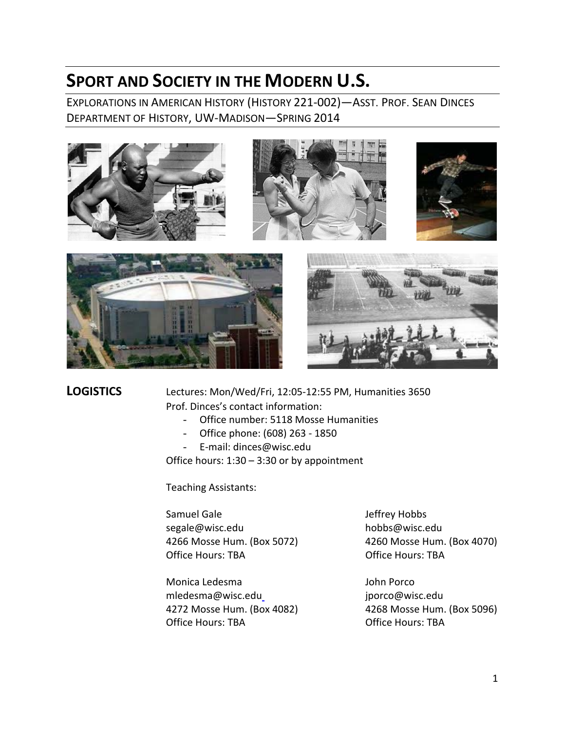# **SPORT AND SOCIETY IN THE MODERN U.S.**

EXPLORATIONS IN AMERICAN HISTORY (HISTORY 221‐002)—ASST. PROF. SEAN DINCES DEPARTMENT OF HISTORY, UW‐MADISON—SPRING 2014



**LOGISTICS**  Lectures: Mon/Wed/Fri, 12:05‐12:55 PM, Humanities 3650 Prof. Dinces's contact information:

- Office number: 5118 Mosse Humanities
- Office phone: (608) 263 ‐ 1850
- E‐mail: dinces@wisc.edu

Office hours: 1:30 – 3:30 or by appointment

Teaching Assistants:

Samuel Gale **Samuel Gale 1999** segale@wisc.edu hobbs@wisc.edu Office Hours: TBA Office Hours: TBA

Monica Ledesma John Porco mledesma@wisc.edu jporco@wisc.edu 4272 Mosse Hum. (Box 4082) 4268 Mosse Hum. (Box 5096) Office Hours: TBA Office Hours: TBA

4266 Mosse Hum. (Box 5072) 4260 Mosse Hum. (Box 4070)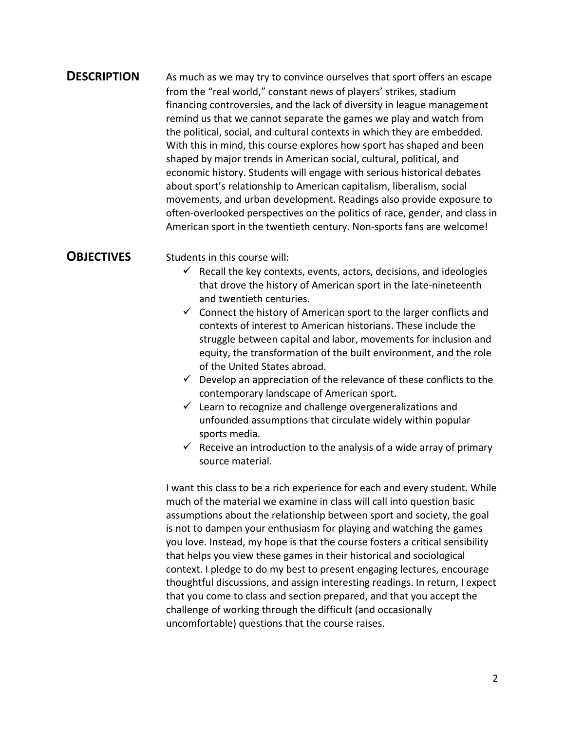### **DESCRIPTION** As much as we may try to convince ourselves that sport offers an escape from the "real world," constant news of players' strikes, stadium financing controversies, and the lack of diversity in league management remind us that we cannot separate the games we play and watch from the political, social, and cultural contexts in which they are embedded. With this in mind, this course explores how sport has shaped and been shaped by major trends in American social, cultural, political, and economic history. Students will engage with serious historical debates about sport's relationship to American capitalism, liberalism, social movements, and urban development. Readings also provide exposure to often‐overlooked perspectives on the politics of race, gender, and class in American sport in the twentieth century. Non‐sports fans are welcome!

**OBJECTIVES**  Students in this course will:

- $\checkmark$  Recall the key contexts, events, actors, decisions, and ideologies that drove the history of American sport in the late‐nineteenth and twentieth centuries.
- $\checkmark$  Connect the history of American sport to the larger conflicts and contexts of interest to American historians. These include the struggle between capital and labor, movements for inclusion and equity, the transformation of the built environment, and the role of the United States abroad.
- $\checkmark$  Develop an appreciation of the relevance of these conflicts to the contemporary landscape of American sport.
- $\checkmark$  Learn to recognize and challenge overgeneralizations and unfounded assumptions that circulate widely within popular sports media.
- $\checkmark$  Receive an introduction to the analysis of a wide array of primary source material.

I want this class to be a rich experience for each and every student. While much of the material we examine in class will call into question basic assumptions about the relationship between sport and society, the goal is not to dampen your enthusiasm for playing and watching the games you love. Instead, my hope is that the course fosters a critical sensibility that helps you view these games in their historical and sociological context. I pledge to do my best to present engaging lectures, encourage thoughtful discussions, and assign interesting readings. In return, I expect that you come to class and section prepared, and that you accept the challenge of working through the difficult (and occasionally uncomfortable) questions that the course raises.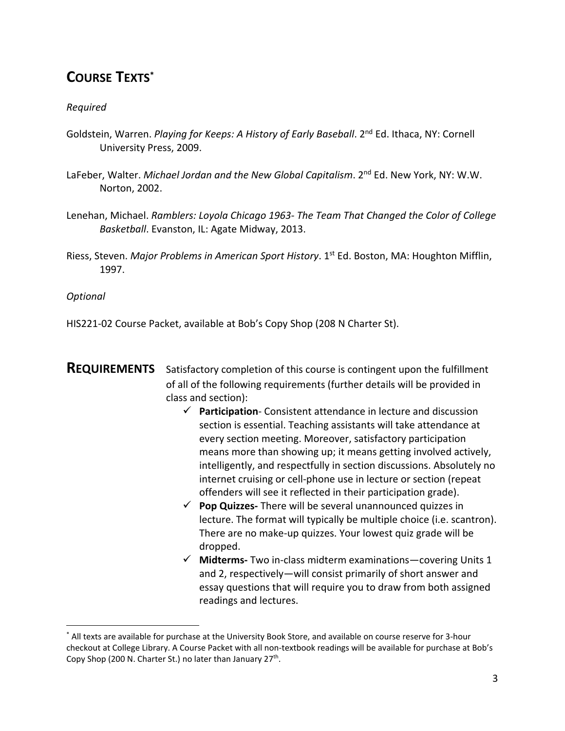## **COURSE TEXTS\***

#### *Required*

- Goldstein, Warren. *Playing for Keeps: A History of Early Baseball*. 2nd Ed. Ithaca, NY: Cornell University Press, 2009.
- LaFeber, Walter. *Michael Jordan and the New Global Capitalism*. 2nd Ed. New York, NY: W.W. Norton, 2002.
- Lenehan, Michael. *Ramblers: Loyola Chicago 1963‐ The Team That Changed the Color of College Basketball*. Evanston, IL: Agate Midway, 2013.
- Riess, Steven. *Major Problems in American Sport History*. 1st Ed. Boston, MA: Houghton Mifflin, 1997.

*Optional*

 $\overline{a}$ 

HIS221‐02 Course Packet, available at Bob's Copy Shop (208 N Charter St).

- **REQUIREMENTS** Satisfactory completion of this course is contingent upon the fulfillment of all of the following requirements (further details will be provided in class and section):
	- **Participation**‐ Consistent attendance in lecture and discussion section is essential. Teaching assistants will take attendance at every section meeting. Moreover, satisfactory participation means more than showing up; it means getting involved actively, intelligently, and respectfully in section discussions. Absolutely no internet cruising or cell‐phone use in lecture or section (repeat offenders will see it reflected in their participation grade).
	- **Pop Quizzes‐** There will be several unannounced quizzes in lecture. The format will typically be multiple choice (i.e. scantron). There are no make‐up quizzes. Your lowest quiz grade will be dropped.
	- **Midterms‐** Two in‐class midterm examinations—covering Units 1 and 2, respectively—will consist primarily of short answer and essay questions that will require you to draw from both assigned readings and lectures.

<sup>\*</sup> All texts are available for purchase at the University Book Store, and available on course reserve for 3‐hour checkout at College Library. A Course Packet with all non‐textbook readings will be available for purchase at Bob's Copy Shop (200 N. Charter St.) no later than January  $27<sup>th</sup>$ .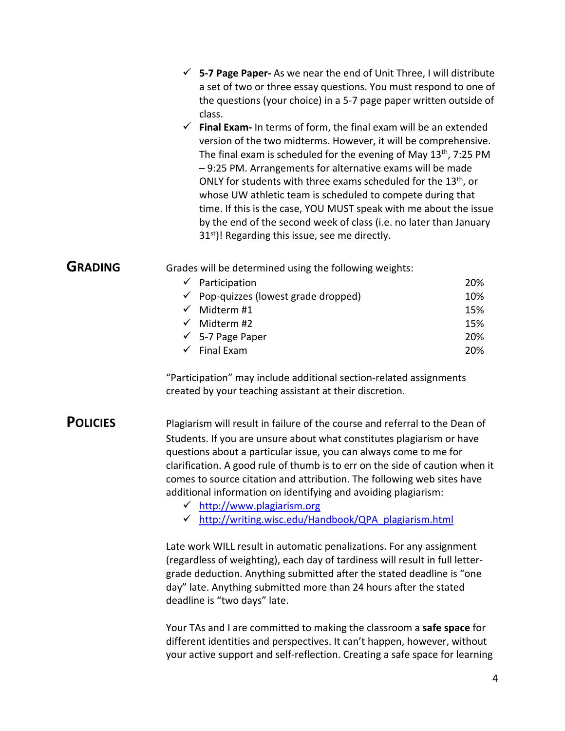- **5‐7 Page Paper‐** As we near the end of Unit Three, I will distribute a set of two or three essay questions. You must respond to one of the questions (your choice) in a 5‐7 page paper written outside of class.
- **Final Exam‐** In terms of form, the final exam will be an extended version of the two midterms. However, it will be comprehensive. The final exam is scheduled for the evening of May  $13<sup>th</sup>$ , 7:25 PM – 9:25 PM. Arrangements for alternative exams will be made ONLY for students with three exams scheduled for the 13<sup>th</sup>, or whose UW athletic team is scheduled to compete during that time. If this is the case, YOU MUST speak with me about the issue by the end of the second week of class (i.e. no later than January  $31<sup>st</sup>$ ! Regarding this issue, see me directly.

**GRADING** Grades will be determined using the following weights:

| $\checkmark$ Participation                      | <b>20%</b> |
|-------------------------------------------------|------------|
| $\checkmark$ Pop-quizzes (lowest grade dropped) | 10%        |
| $\checkmark$ Midterm #1                         | 15%        |
| $\checkmark$ Midterm #2                         | 15%        |
| $\checkmark$ 5-7 Page Paper                     | 20%        |
| $\checkmark$ Final Exam                         | 20%        |
|                                                 |            |

"Participation" may include additional section‐related assignments created by your teaching assistant at their discretion.

**POLICIES** Plagiarism will result in failure of the course and referral to the Dean of Students. If you are unsure about what constitutes plagiarism or have questions about a particular issue, you can always come to me for clarification. A good rule of thumb is to err on the side of caution when it comes to source citation and attribution. The following web sites have additional information on identifying and avoiding plagiarism:

- $\checkmark$  http://www.plagiarism.org
- $\checkmark$  http://writing.wisc.edu/Handbook/QPA\_plagiarism.html

Late work WILL result in automatic penalizations. For any assignment (regardless of weighting), each day of tardiness will result in full letter‐ grade deduction. Anything submitted after the stated deadline is "one day" late. Anything submitted more than 24 hours after the stated deadline is "two days" late.

Your TAs and I are committed to making the classroom a **safe space** for different identities and perspectives. It can't happen, however, without your active support and self‐reflection. Creating a safe space for learning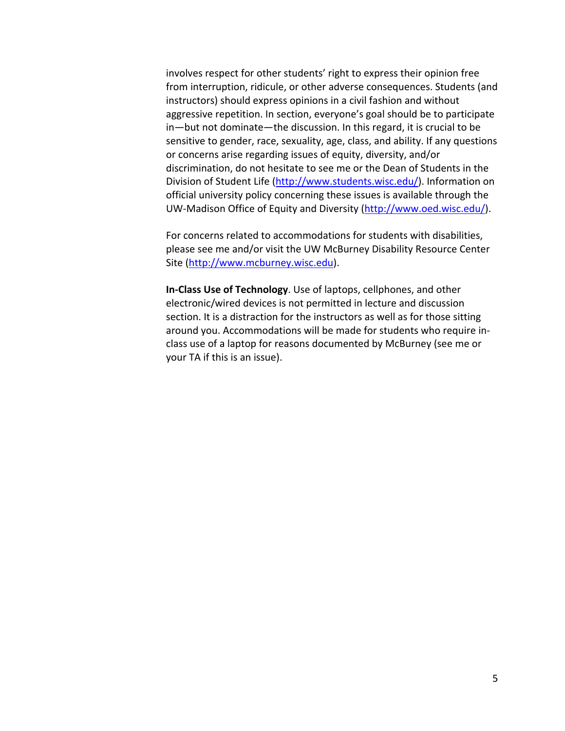involves respect for other students' right to express their opinion free from interruption, ridicule, or other adverse consequences. Students (and instructors) should express opinions in a civil fashion and without aggressive repetition. In section, everyone's goal should be to participate in—but not dominate—the discussion. In this regard, it is crucial to be sensitive to gender, race, sexuality, age, class, and ability. If any questions or concerns arise regarding issues of equity, diversity, and/or discrimination, do not hesitate to see me or the Dean of Students in the Division of Student Life (http://www.students.wisc.edu/). Information on official university policy concerning these issues is available through the UW‐Madison Office of Equity and Diversity (http://www.oed.wisc.edu/).

For concerns related to accommodations for students with disabilities, please see me and/or visit the UW McBurney Disability Resource Center Site (http://www.mcburney.wisc.edu).

**In‐Class Use of Technology**. Use of laptops, cellphones, and other electronic/wired devices is not permitted in lecture and discussion section. It is a distraction for the instructors as well as for those sitting around you. Accommodations will be made for students who require in‐ class use of a laptop for reasons documented by McBurney (see me or your TA if this is an issue).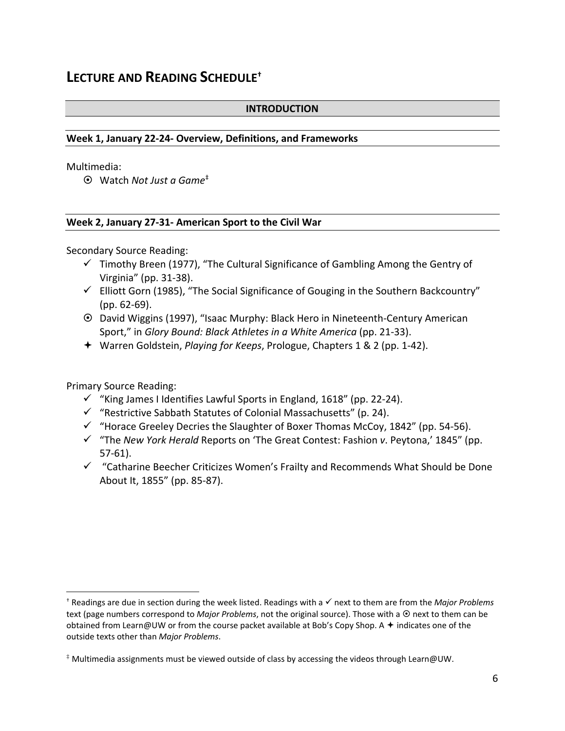#### **INTRODUCTION**

#### **Week 1, January 22‐24‐ Overview, Definitions, and Frameworks**

#### Multimedia:

Watch *Not Just a Game*‡

#### **Week 2, January 27‐31‐ American Sport to the Civil War**

Secondary Source Reading:

- $\checkmark$  Timothy Breen (1977), "The Cultural Significance of Gambling Among the Gentry of Virginia" (pp. 31‐38).
- $\checkmark$  Elliott Gorn (1985), "The Social Significance of Gouging in the Southern Backcountry" (pp. 62‐69).
- David Wiggins (1997), "Isaac Murphy: Black Hero in Nineteenth‐Century American Sport," in *Glory Bound: Black Athletes in a White America* (pp. 21‐33).
- Warren Goldstein, *Playing for Keeps*, Prologue, Chapters 1 & 2 (pp. 1‐42).

Primary Source Reading:

 $\overline{a}$ 

- "King James I Identifies Lawful Sports in England, 1618" (pp. 22‐24).
- $\checkmark$  "Restrictive Sabbath Statutes of Colonial Massachusetts" (p. 24).
- $\checkmark$  "Horace Greeley Decries the Slaughter of Boxer Thomas McCoy, 1842" (pp. 54-56).
- "The *New York Herald* Reports on 'The Great Contest: Fashion *v*. Peytona,' 1845" (pp. 57‐61).
- $\checkmark$  "Catharine Beecher Criticizes Women's Frailty and Recommends What Should be Done About It, 1855" (pp. 85‐87).

<sup>†</sup> Readings are due in section during the week listed. Readings with a next to them are from the *Major Problems* text (page numbers correspond to *Major Problems*, not the original source). Those with a  $\odot$  next to them can be obtained from Learn@UW or from the course packet available at Bob's Copy Shop. A  $\bigstar$  indicates one of the outside texts other than *Major Problems*.

<sup>‡</sup> Multimedia assignments must be viewed outside of class by accessing the videos through Learn@UW.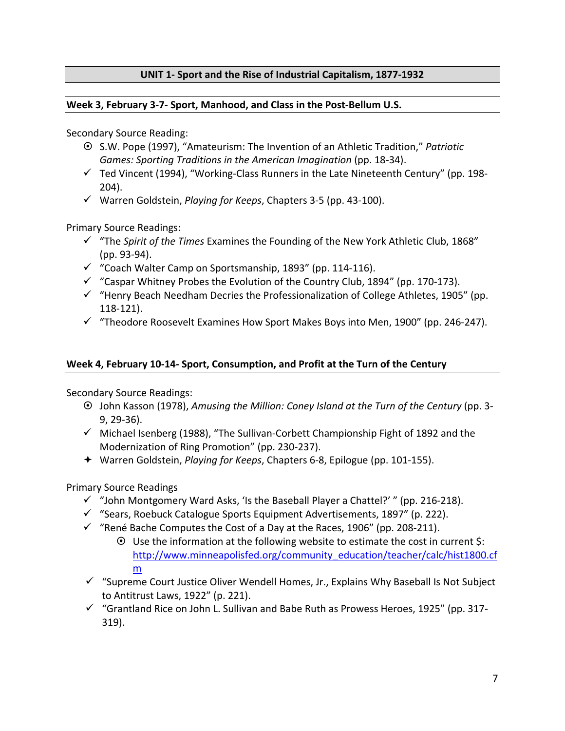#### **UNIT 1‐ Sport and the Rise of Industrial Capitalism, 1877‐1932**

#### **Week 3, February 3‐7‐ Sport, Manhood, and Class in the Post‐Bellum U.S.**

Secondary Source Reading:

- S.W. Pope (1997), "Amateurism: The Invention of an Athletic Tradition," *Patriotic Games: Sporting Traditions in the American Imagination* (pp. 18‐34).
- $\checkmark$  Ted Vincent (1994), "Working-Class Runners in the Late Nineteenth Century" (pp. 198– 204).
- Warren Goldstein, *Playing for Keeps*, Chapters 3‐5 (pp. 43‐100).

Primary Source Readings:

- "The *Spirit of the Times* Examines the Founding of the New York Athletic Club, 1868" (pp. 93‐94).
- "Coach Walter Camp on Sportsmanship, 1893" (pp. 114‐116).
- "Caspar Whitney Probes the Evolution of the Country Club, 1894" (pp. 170‐173).
- $\checkmark$  "Henry Beach Needham Decries the Professionalization of College Athletes, 1905" (pp. 118‐121).
- "Theodore Roosevelt Examines How Sport Makes Boys into Men, 1900" (pp. 246‐247).

#### **Week 4, February 10‐14‐ Sport, Consumption, and Profit at the Turn of the Century**

Secondary Source Readings:

- John Kasson (1978), *Amusing the Million: Coney Island at the Turn of the Century* (pp. 3‐ 9, 29‐36).
- $\checkmark$  Michael Isenberg (1988), "The Sullivan-Corbett Championship Fight of 1892 and the Modernization of Ring Promotion" (pp. 230‐237).
- Warren Goldstein, *Playing for Keeps*, Chapters 6‐8, Epilogue (pp. 101‐155).

Primary Source Readings

- $\checkmark$  "John Montgomery Ward Asks, 'Is the Baseball Player a Chattel?' " (pp. 216-218).
- $\checkmark$  "Sears, Roebuck Catalogue Sports Equipment Advertisements, 1897" (p. 222).
- $\checkmark$  "René Bache Computes the Cost of a Day at the Races, 1906" (pp. 208-211).
	- Use the information at the following website to estimate the cost in current \$: http://www.minneapolisfed.org/community\_education/teacher/calc/hist1800.cf m
- $\checkmark$  "Supreme Court Justice Oliver Wendell Homes, Jr., Explains Why Baseball Is Not Subject to Antitrust Laws, 1922" (p. 221).
- $\checkmark$  "Grantland Rice on John L. Sullivan and Babe Ruth as Prowess Heroes, 1925" (pp. 317-319).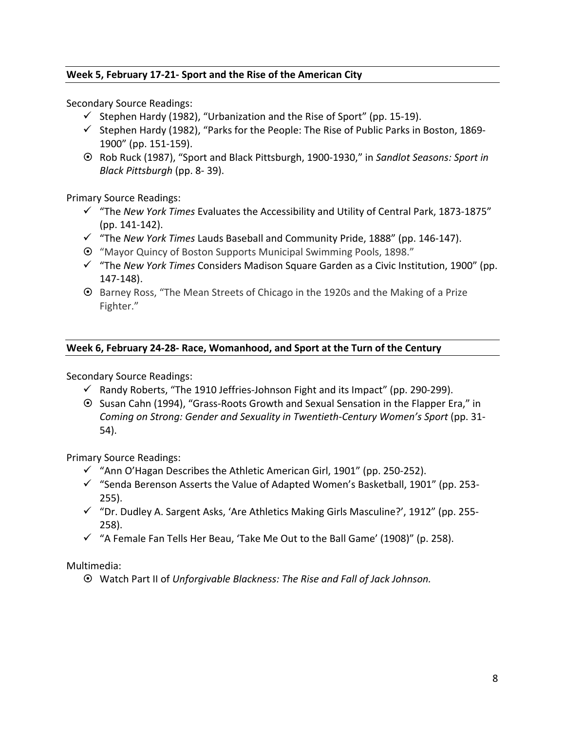#### **Week 5, February 17‐21‐ Sport and the Rise of the American City**

Secondary Source Readings:

- $\checkmark$  Stephen Hardy (1982), "Urbanization and the Rise of Sport" (pp. 15-19).
- $\checkmark$  Stephen Hardy (1982), "Parks for the People: The Rise of Public Parks in Boston, 1869-1900" (pp. 151‐159).
- Rob Ruck (1987), "Sport and Black Pittsburgh, 1900‐1930," in *Sandlot Seasons: Sport in Black Pittsburgh* (pp. 8‐ 39).

Primary Source Readings:

- "The *New York Times* Evaluates the Accessibility and Utility of Central Park, 1873‐1875" (pp. 141‐142).
- "The *New York Times* Lauds Baseball and Community Pride, 1888" (pp. 146‐147).
- "Mayor Quincy of Boston Supports Municipal Swimming Pools, 1898."
- "The *New York Times* Considers Madison Square Garden as a Civic Institution, 1900" (pp. 147‐148).
- $\odot$  Barney Ross, "The Mean Streets of Chicago in the 1920s and the Making of a Prize Fighter."

#### **Week 6, February 24‐28‐ Race, Womanhood, and Sport at the Turn of the Century**

Secondary Source Readings:

- $\checkmark$  Randy Roberts, "The 1910 Jeffries-Johnson Fight and its Impact" (pp. 290-299).
- Susan Cahn (1994), "Grass‐Roots Growth and Sexual Sensation in the Flapper Era," in *Coming on Strong: Gender and Sexuality in Twentieth‐Century Women's Sport* (pp. 31‐ 54).

Primary Source Readings:

- $\checkmark$  "Ann O'Hagan Describes the Athletic American Girl, 1901" (pp. 250-252).
- $\checkmark$  "Senda Berenson Asserts the Value of Adapted Women's Basketball, 1901" (pp. 253-255).
- "Dr. Dudley A. Sargent Asks, 'Are Athletics Making Girls Masculine?', 1912" (pp. 255‐ 258).
- $\checkmark$  "A Female Fan Tells Her Beau, 'Take Me Out to the Ball Game' (1908)" (p. 258).

Multimedia:

Watch Part II of *Unforgivable Blackness: The Rise and Fall of Jack Johnson.*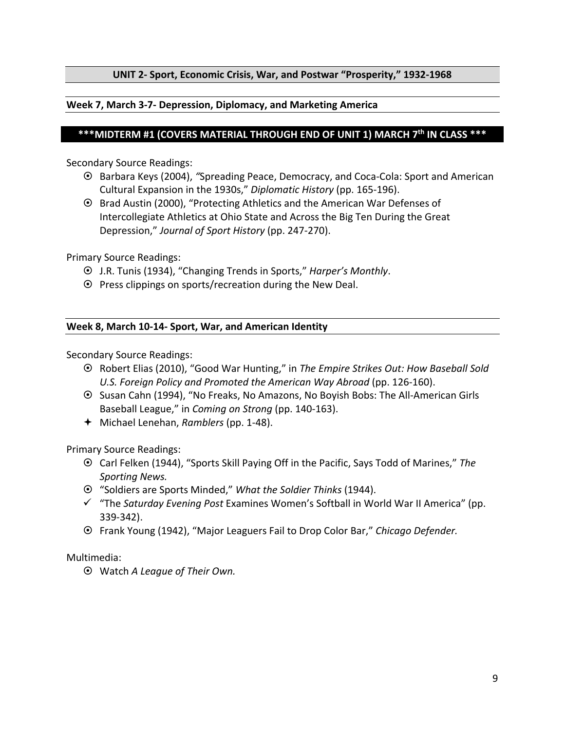#### **UNIT 2‐ Sport, Economic Crisis, War, and Postwar "Prosperity," 1932‐1968**

#### **Week 7, March 3‐7‐ Depression, Diplomacy, and Marketing America**

#### **\*\*\*MIDTERM #1 (COVERS MATERIAL THROUGH END OF UNIT 1) MARCH 7th IN CLASS \*\*\***

Secondary Source Readings:

- Barbara Keys (2004), *"*Spreading Peace, Democracy, and Coca‐Cola: Sport and American Cultural Expansion in the 1930s," *Diplomatic History* (pp. 165‐196).
- Brad Austin (2000), "Protecting Athletics and the American War Defenses of Intercollegiate Athletics at Ohio State and Across the Big Ten During the Great Depression," *Journal of Sport History* (pp. 247‐270).

Primary Source Readings:

- J.R. Tunis (1934), "Changing Trends in Sports," *Harper's Monthly*.
- $\odot$  Press clippings on sports/recreation during the New Deal.

#### **Week 8, March 10‐14‐ Sport, War, and American Identity**

Secondary Source Readings:

- Robert Elias (2010), "Good War Hunting," in *The Empire Strikes Out: How Baseball Sold U.S. Foreign Policy and Promoted the American Way Abroad* (pp. 126‐160).
- Susan Cahn (1994), "No Freaks, No Amazons, No Boyish Bobs: The All‐American Girls Baseball League," in *Coming on Strong* (pp. 140‐163).
- Michael Lenehan, *Ramblers* (pp. 1‐48).

Primary Source Readings:

- Carl Felken (1944), "Sports Skill Paying Off in the Pacific, Says Todd of Marines," *The Sporting News.*
- "Soldiers are Sports Minded," *What the Soldier Thinks* (1944).
- "The *Saturday Evening Post* Examines Women's Softball in World War II America" (pp. 339‐342).
- Frank Young (1942), "Major Leaguers Fail to Drop Color Bar," *Chicago Defender.*

Multimedia:

Watch *A League of Their Own.*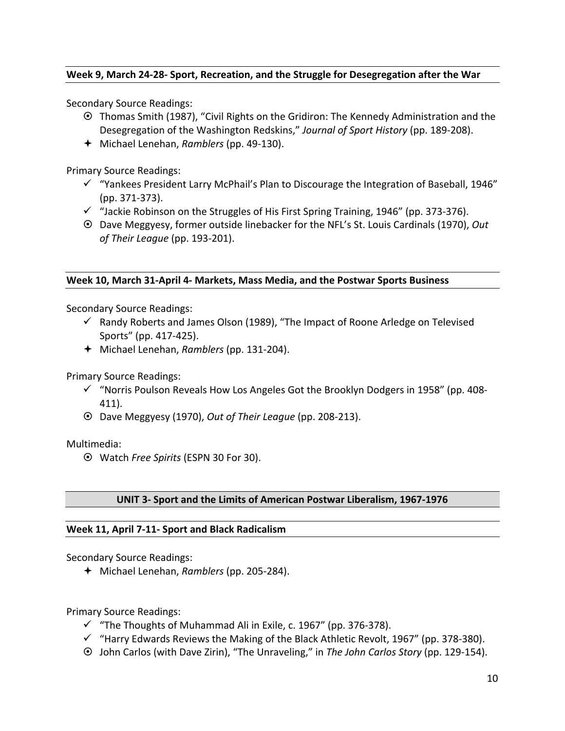#### **Week 9, March 24‐28‐ Sport, Recreation, and the Struggle for Desegregation after the War**

Secondary Source Readings:

- Thomas Smith (1987), "Civil Rights on the Gridiron: The Kennedy Administration and the Desegregation of the Washington Redskins," *Journal of Sport History* (pp. 189‐208).
- Michael Lenehan, *Ramblers* (pp. 49‐130).

Primary Source Readings:

- $\checkmark$  "Yankees President Larry McPhail's Plan to Discourage the Integration of Baseball, 1946" (pp. 371‐373).
- $\checkmark$  "Jackie Robinson on the Struggles of His First Spring Training, 1946" (pp. 373-376).
- Dave Meggyesy, former outside linebacker for the NFL's St. Louis Cardinals (1970), *Out of Their League* (pp. 193‐201).

#### **Week 10, March 31‐April 4‐ Markets, Mass Media, and the Postwar Sports Business**

Secondary Source Readings:

- $\checkmark$  Randy Roberts and James Olson (1989), "The Impact of Roone Arledge on Televised Sports" (pp. 417‐425).
- Michael Lenehan, *Ramblers* (pp. 131‐204).

Primary Source Readings:

- $\checkmark$  "Norris Poulson Reveals How Los Angeles Got the Brooklyn Dodgers in 1958" (pp. 408– 411).
- Dave Meggyesy (1970), *Out of Their League* (pp. 208‐213).

Multimedia:

Watch *Free Spirits* (ESPN 30 For 30).

#### **UNIT 3‐ Sport and the Limits of American Postwar Liberalism, 1967‐1976**

#### **Week 11, April 7‐11‐ Sport and Black Radicalism**

Secondary Source Readings:

Michael Lenehan, *Ramblers* (pp. 205‐284).

Primary Source Readings:

- $\checkmark$  "The Thoughts of Muhammad Ali in Exile, c. 1967" (pp. 376-378).
- $\checkmark$  "Harry Edwards Reviews the Making of the Black Athletic Revolt, 1967" (pp. 378-380).
- John Carlos (with Dave Zirin), "The Unraveling," in *The John Carlos Story* (pp. 129‐154).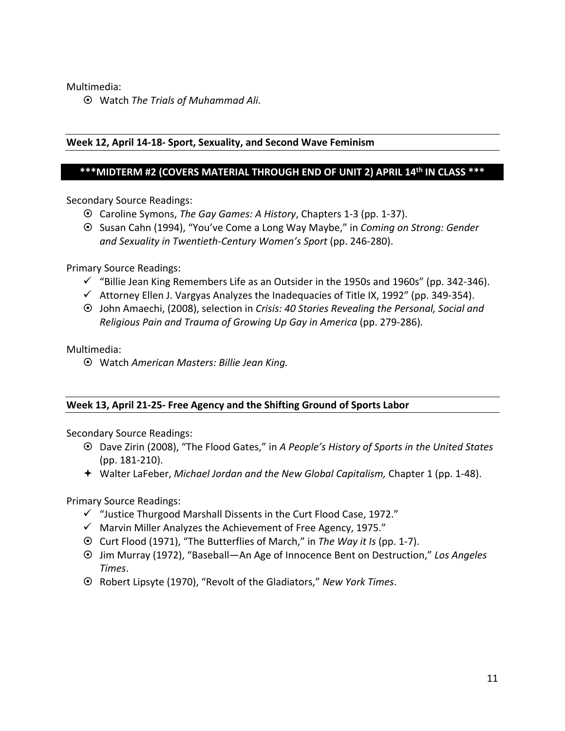Multimedia:

Watch *The Trials of Muhammad Ali*.

### **Week 12, April 14‐18‐ Sport, Sexuality, and Second Wave Feminism**

### **\*\*\*MIDTERM #2 (COVERS MATERIAL THROUGH END OF UNIT 2) APRIL 14th IN CLASS \*\*\***

Secondary Source Readings:

- Caroline Symons, *The Gay Games: A History*, Chapters 1‐3 (pp. 1‐37).
- Susan Cahn (1994), "You've Come a Long Way Maybe," in *Coming on Strong: Gender and Sexuality in Twentieth‐Century Women's Sport* (pp. 246‐280).

Primary Source Readings:

- $\checkmark$  "Billie Jean King Remembers Life as an Outsider in the 1950s and 1960s" (pp. 342-346).
- $\checkmark$  Attorney Ellen J. Vargyas Analyzes the Inadequacies of Title IX, 1992" (pp. 349-354).
- John Amaechi, (2008), selection in *Crisis: 40 Stories Revealing the Personal, Social and Religious Pain and Trauma of Growing Up Gay in America* (pp. 279‐286)*.*

Multimedia:

Watch *American Masters: Billie Jean King.*

#### **Week 13, April 21‐25‐ Free Agency and the Shifting Ground of Sports Labor**

Secondary Source Readings:

- Dave Zirin (2008), "The Flood Gates," in *A People's History of Sports in the United States* (pp. 181‐210).
- Walter LaFeber, *Michael Jordan and the New Global Capitalism,* Chapter 1 (pp. 1‐48).

Primary Source Readings:

- $\checkmark$  "Justice Thurgood Marshall Dissents in the Curt Flood Case, 1972."
- $\checkmark$  Marvin Miller Analyzes the Achievement of Free Agency, 1975."
- Curt Flood (1971), "The Butterflies of March," in *The Way it Is* (pp. 1‐7).
- Jim Murray (1972), "Baseball—An Age of Innocence Bent on Destruction," *Los Angeles Times*.
- Robert Lipsyte (1970), "Revolt of the Gladiators," *New York Times*.